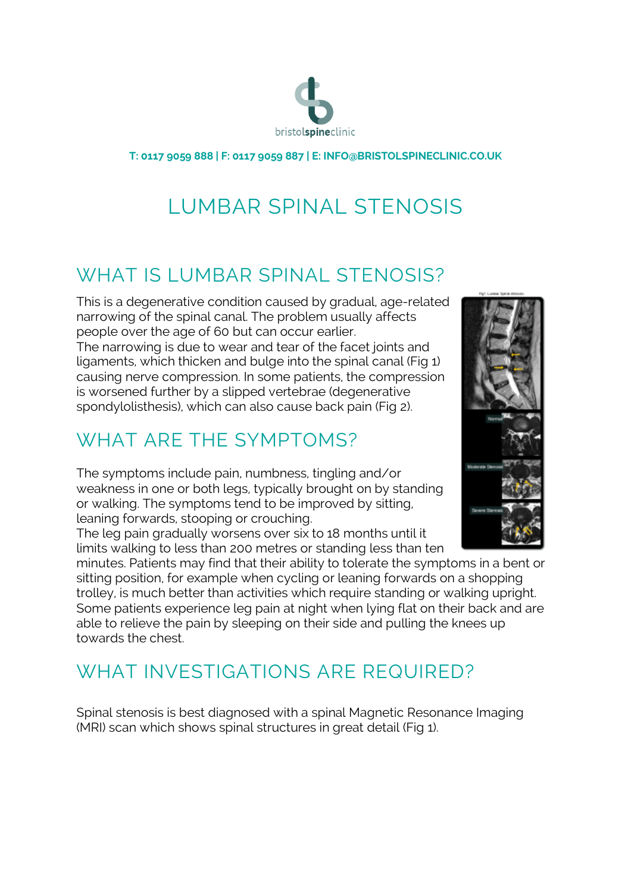

**T: 0117 9059 888 | F: 0117 9059 887 | E: INFO@BRISTOLSPINECLINIC.CO.UK**

# LUMBAR SPINAL STENOSIS

#### WHAT IS LUMBAR SPINAL STENOSIS?

This is a degenerative condition caused by gradual, age-related narrowing of the spinal canal. The problem usually affects people over the age of 60 but can occur earlier. The narrowing is due to wear and tear of the facet joints and ligaments, which thicken and bulge into the spinal canal (Fig 1) causing nerve compression. In some patients, the compression is worsened further by a slipped vertebrae (degenerative spondylolisthesis), which can also cause back pain (Fig 2).

## WHAT ARE THE SYMPTOMS?

The symptoms include pain, numbness, tingling and/or weakness in one or both legs, typically brought on by standing or walking. The symptoms tend to be improved by sitting, leaning forwards, stooping or crouching.

The leg pain gradually worsens over six to 18 months until it limits walking to less than 200 metres or standing less than ten

minutes. Patients may find that their ability to tolerate the symptoms in a bent or sitting position, for example when cycling or leaning forwards on a shopping trolley, is much better than activities which require standing or walking upright. Some patients experience leg pain at night when lying flat on their back and are able to relieve the pain by sleeping on their side and pulling the knees up towards the chest.

## WHAT INVESTIGATIONS ARE REQUIRED?

Spinal stenosis is best diagnosed with a spinal Magnetic Resonance Imaging (MRI) scan which shows spinal structures in great detail (Fig 1).